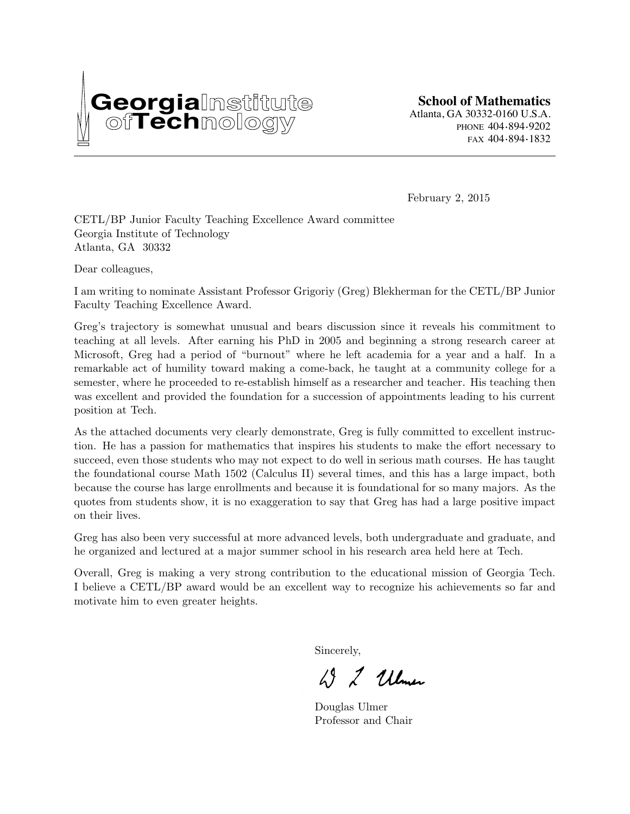

February 2, 2015

CETL/BP Junior Faculty Teaching Excellence Award committee Georgia Institute of Technology Atlanta, GA 30332

Dear colleagues,

I am writing to nominate Assistant Professor Grigoriy (Greg) Blekherman for the CETL/BP Junior Faculty Teaching Excellence Award.

Greg's trajectory is somewhat unusual and bears discussion since it reveals his commitment to teaching at all levels. After earning his PhD in 2005 and beginning a strong research career at Microsoft, Greg had a period of "burnout" where he left academia for a year and a half. In a remarkable act of humility toward making a come-back, he taught at a community college for a semester, where he proceeded to re-establish himself as a researcher and teacher. His teaching then was excellent and provided the foundation for a succession of appointments leading to his current position at Tech.

As the attached documents very clearly demonstrate, Greg is fully committed to excellent instruction. He has a passion for mathematics that inspires his students to make the effort necessary to succeed, even those students who may not expect to do well in serious math courses. He has taught the foundational course Math 1502 (Calculus II) several times, and this has a large impact, both because the course has large enrollments and because it is foundational for so many majors. As the quotes from students show, it is no exaggeration to say that Greg has had a large positive impact on their lives.

Greg has also been very successful at more advanced levels, both undergraduate and graduate, and he organized and lectured at a major summer school in his research area held here at Tech.

Overall, Greg is making a very strong contribution to the educational mission of Georgia Tech. I believe a CETL/BP award would be an excellent way to recognize his achievements so far and motivate him to even greater heights.

Sincerely,

W 2 Ulmer

Douglas Ulmer Professor and Chair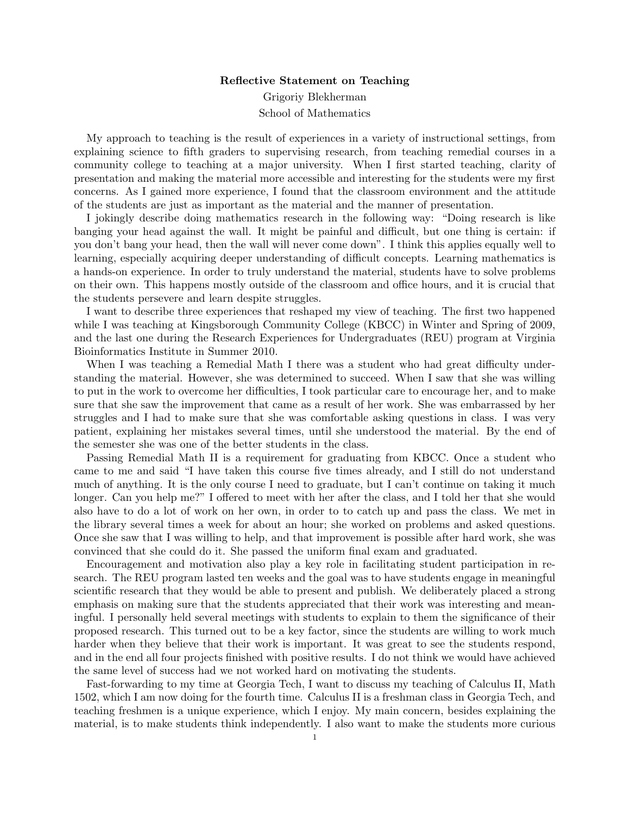## Reflective Statement on Teaching

Grigoriy Blekherman School of Mathematics

My approach to teaching is the result of experiences in a variety of instructional settings, from explaining science to fifth graders to supervising research, from teaching remedial courses in a community college to teaching at a major university. When I first started teaching, clarity of presentation and making the material more accessible and interesting for the students were my first concerns. As I gained more experience, I found that the classroom environment and the attitude of the students are just as important as the material and the manner of presentation.

I jokingly describe doing mathematics research in the following way: "Doing research is like banging your head against the wall. It might be painful and difficult, but one thing is certain: if you don't bang your head, then the wall will never come down". I think this applies equally well to learning, especially acquiring deeper understanding of difficult concepts. Learning mathematics is a hands-on experience. In order to truly understand the material, students have to solve problems on their own. This happens mostly outside of the classroom and office hours, and it is crucial that the students persevere and learn despite struggles.

I want to describe three experiences that reshaped my view of teaching. The first two happened while I was teaching at Kingsborough Community College (KBCC) in Winter and Spring of 2009, and the last one during the Research Experiences for Undergraduates (REU) program at Virginia Bioinformatics Institute in Summer 2010.

When I was teaching a Remedial Math I there was a student who had great difficulty understanding the material. However, she was determined to succeed. When I saw that she was willing to put in the work to overcome her difficulties, I took particular care to encourage her, and to make sure that she saw the improvement that came as a result of her work. She was embarrassed by her struggles and I had to make sure that she was comfortable asking questions in class. I was very patient, explaining her mistakes several times, until she understood the material. By the end of the semester she was one of the better students in the class.

Passing Remedial Math II is a requirement for graduating from KBCC. Once a student who came to me and said "I have taken this course five times already, and I still do not understand much of anything. It is the only course I need to graduate, but I can't continue on taking it much longer. Can you help me?" I offered to meet with her after the class, and I told her that she would also have to do a lot of work on her own, in order to to catch up and pass the class. We met in the library several times a week for about an hour; she worked on problems and asked questions. Once she saw that I was willing to help, and that improvement is possible after hard work, she was convinced that she could do it. She passed the uniform final exam and graduated.

Encouragement and motivation also play a key role in facilitating student participation in research. The REU program lasted ten weeks and the goal was to have students engage in meaningful scientific research that they would be able to present and publish. We deliberately placed a strong emphasis on making sure that the students appreciated that their work was interesting and meaningful. I personally held several meetings with students to explain to them the significance of their proposed research. This turned out to be a key factor, since the students are willing to work much harder when they believe that their work is important. It was great to see the students respond, and in the end all four projects finished with positive results. I do not think we would have achieved the same level of success had we not worked hard on motivating the students.

Fast-forwarding to my time at Georgia Tech, I want to discuss my teaching of Calculus II, Math 1502, which I am now doing for the fourth time. Calculus II is a freshman class in Georgia Tech, and teaching freshmen is a unique experience, which I enjoy. My main concern, besides explaining the material, is to make students think independently. I also want to make the students more curious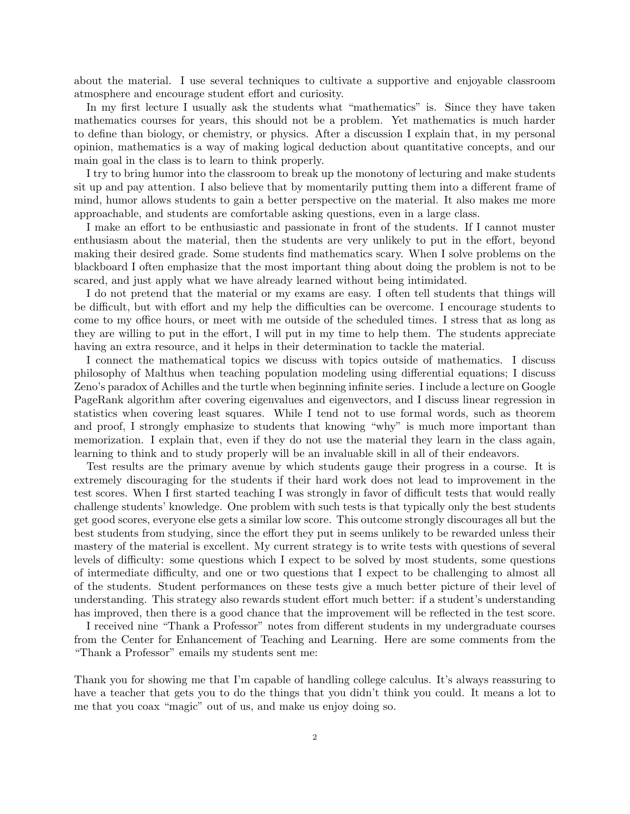about the material. I use several techniques to cultivate a supportive and enjoyable classroom atmosphere and encourage student effort and curiosity.

In my first lecture I usually ask the students what "mathematics" is. Since they have taken mathematics courses for years, this should not be a problem. Yet mathematics is much harder to define than biology, or chemistry, or physics. After a discussion I explain that, in my personal opinion, mathematics is a way of making logical deduction about quantitative concepts, and our main goal in the class is to learn to think properly.

I try to bring humor into the classroom to break up the monotony of lecturing and make students sit up and pay attention. I also believe that by momentarily putting them into a different frame of mind, humor allows students to gain a better perspective on the material. It also makes me more approachable, and students are comfortable asking questions, even in a large class.

I make an effort to be enthusiastic and passionate in front of the students. If I cannot muster enthusiasm about the material, then the students are very unlikely to put in the effort, beyond making their desired grade. Some students find mathematics scary. When I solve problems on the blackboard I often emphasize that the most important thing about doing the problem is not to be scared, and just apply what we have already learned without being intimidated.

I do not pretend that the material or my exams are easy. I often tell students that things will be difficult, but with effort and my help the difficulties can be overcome. I encourage students to come to my office hours, or meet with me outside of the scheduled times. I stress that as long as they are willing to put in the effort, I will put in my time to help them. The students appreciate having an extra resource, and it helps in their determination to tackle the material.

I connect the mathematical topics we discuss with topics outside of mathematics. I discuss philosophy of Malthus when teaching population modeling using differential equations; I discuss Zeno's paradox of Achilles and the turtle when beginning infinite series. I include a lecture on Google PageRank algorithm after covering eigenvalues and eigenvectors, and I discuss linear regression in statistics when covering least squares. While I tend not to use formal words, such as theorem and proof, I strongly emphasize to students that knowing "why" is much more important than memorization. I explain that, even if they do not use the material they learn in the class again, learning to think and to study properly will be an invaluable skill in all of their endeavors.

Test results are the primary avenue by which students gauge their progress in a course. It is extremely discouraging for the students if their hard work does not lead to improvement in the test scores. When I first started teaching I was strongly in favor of difficult tests that would really challenge students' knowledge. One problem with such tests is that typically only the best students get good scores, everyone else gets a similar low score. This outcome strongly discourages all but the best students from studying, since the effort they put in seems unlikely to be rewarded unless their mastery of the material is excellent. My current strategy is to write tests with questions of several levels of difficulty: some questions which I expect to be solved by most students, some questions of intermediate difficulty, and one or two questions that I expect to be challenging to almost all of the students. Student performances on these tests give a much better picture of their level of understanding. This strategy also rewards student effort much better: if a student's understanding has improved, then there is a good chance that the improvement will be reflected in the test score.

I received nine "Thank a Professor" notes from different students in my undergraduate courses from the Center for Enhancement of Teaching and Learning. Here are some comments from the "Thank a Professor" emails my students sent me:

Thank you for showing me that I'm capable of handling college calculus. It's always reassuring to have a teacher that gets you to do the things that you didn't think you could. It means a lot to me that you coax "magic" out of us, and make us enjoy doing so.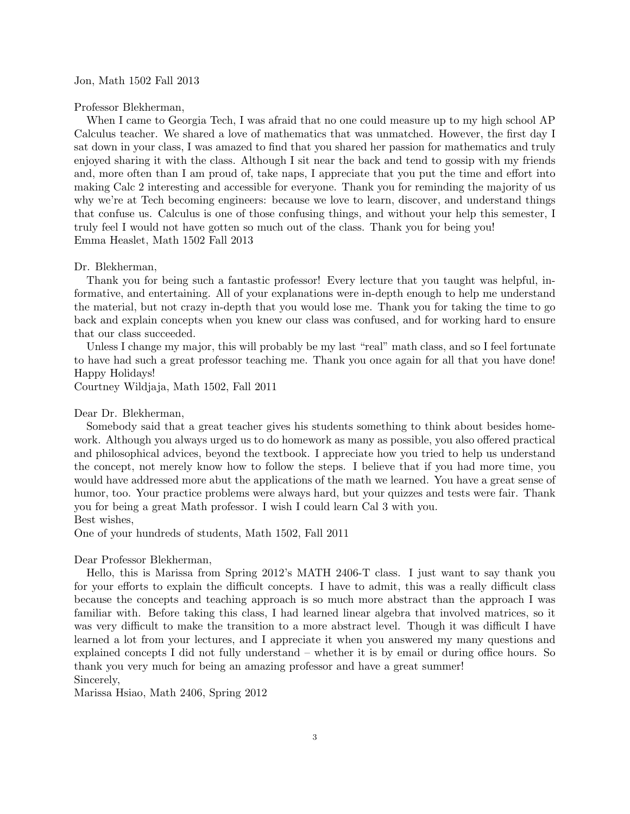## Jon, Math 1502 Fall 2013

Professor Blekherman,

When I came to Georgia Tech, I was afraid that no one could measure up to my high school AP Calculus teacher. We shared a love of mathematics that was unmatched. However, the first day I sat down in your class, I was amazed to find that you shared her passion for mathematics and truly enjoyed sharing it with the class. Although I sit near the back and tend to gossip with my friends and, more often than I am proud of, take naps, I appreciate that you put the time and effort into making Calc 2 interesting and accessible for everyone. Thank you for reminding the majority of us why we're at Tech becoming engineers: because we love to learn, discover, and understand things that confuse us. Calculus is one of those confusing things, and without your help this semester, I truly feel I would not have gotten so much out of the class. Thank you for being you! Emma Heaslet, Math 1502 Fall 2013

#### Dr. Blekherman,

Thank you for being such a fantastic professor! Every lecture that you taught was helpful, informative, and entertaining. All of your explanations were in-depth enough to help me understand the material, but not crazy in-depth that you would lose me. Thank you for taking the time to go back and explain concepts when you knew our class was confused, and for working hard to ensure that our class succeeded.

Unless I change my major, this will probably be my last "real" math class, and so I feel fortunate to have had such a great professor teaching me. Thank you once again for all that you have done! Happy Holidays!

Courtney Wildjaja, Math 1502, Fall 2011

# Dear Dr. Blekherman,

Somebody said that a great teacher gives his students something to think about besides homework. Although you always urged us to do homework as many as possible, you also offered practical and philosophical advices, beyond the textbook. I appreciate how you tried to help us understand the concept, not merely know how to follow the steps. I believe that if you had more time, you would have addressed more abut the applications of the math we learned. You have a great sense of humor, too. Your practice problems were always hard, but your quizzes and tests were fair. Thank you for being a great Math professor. I wish I could learn Cal 3 with you.

Best wishes,

One of your hundreds of students, Math 1502, Fall 2011

### Dear Professor Blekherman,

Hello, this is Marissa from Spring 2012's MATH 2406-T class. I just want to say thank you for your efforts to explain the difficult concepts. I have to admit, this was a really difficult class because the concepts and teaching approach is so much more abstract than the approach I was familiar with. Before taking this class, I had learned linear algebra that involved matrices, so it was very difficult to make the transition to a more abstract level. Though it was difficult I have learned a lot from your lectures, and I appreciate it when you answered my many questions and explained concepts I did not fully understand – whether it is by email or during office hours. So thank you very much for being an amazing professor and have a great summer! Sincerely,

Marissa Hsiao, Math 2406, Spring 2012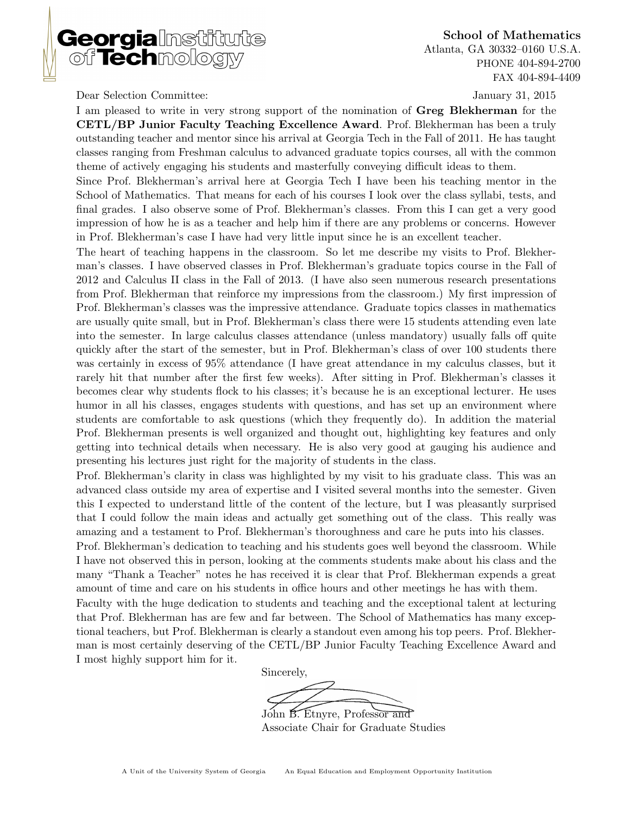

School of Mathematics Atlanta, GA 30332–0160 U.S.A. PHONE 404-894-2700 FAX 404-894-4409

Dear Selection Committee: January 31, 2015

I am pleased to write in very strong support of the nomination of Greg Blekherman for the CETL/BP Junior Faculty Teaching Excellence Award. Prof. Blekherman has been a truly outstanding teacher and mentor since his arrival at Georgia Tech in the Fall of 2011. He has taught classes ranging from Freshman calculus to advanced graduate topics courses, all with the common theme of actively engaging his students and masterfully conveying difficult ideas to them.

Since Prof. Blekherman's arrival here at Georgia Tech I have been his teaching mentor in the School of Mathematics. That means for each of his courses I look over the class syllabi, tests, and final grades. I also observe some of Prof. Blekherman's classes. From this I can get a very good impression of how he is as a teacher and help him if there are any problems or concerns. However in Prof. Blekherman's case I have had very little input since he is an excellent teacher.

The heart of teaching happens in the classroom. So let me describe my visits to Prof. Blekherman's classes. I have observed classes in Prof. Blekherman's graduate topics course in the Fall of 2012 and Calculus II class in the Fall of 2013. (I have also seen numerous research presentations from Prof. Blekherman that reinforce my impressions from the classroom.) My first impression of Prof. Blekherman's classes was the impressive attendance. Graduate topics classes in mathematics are usually quite small, but in Prof. Blekherman's class there were 15 students attending even late into the semester. In large calculus classes attendance (unless mandatory) usually falls off quite quickly after the start of the semester, but in Prof. Blekherman's class of over 100 students there was certainly in excess of 95% attendance (I have great attendance in my calculus classes, but it rarely hit that number after the first few weeks). After sitting in Prof. Blekherman's classes it becomes clear why students flock to his classes; it's because he is an exceptional lecturer. He uses humor in all his classes, engages students with questions, and has set up an environment where students are comfortable to ask questions (which they frequently do). In addition the material Prof. Blekherman presents is well organized and thought out, highlighting key features and only getting into technical details when necessary. He is also very good at gauging his audience and presenting his lectures just right for the majority of students in the class.

Prof. Blekherman's clarity in class was highlighted by my visit to his graduate class. This was an advanced class outside my area of expertise and I visited several months into the semester. Given this I expected to understand little of the content of the lecture, but I was pleasantly surprised that I could follow the main ideas and actually get something out of the class. This really was amazing and a testament to Prof. Blekherman's thoroughness and care he puts into his classes.

Prof. Blekherman's dedication to teaching and his students goes well beyond the classroom. While I have not observed this in person, looking at the comments students make about his class and the many "Thank a Teacher" notes he has received it is clear that Prof. Blekherman expends a great amount of time and care on his students in office hours and other meetings he has with them.

Faculty with the huge dedication to students and teaching and the exceptional talent at lecturing that Prof. Blekherman has are few and far between. The School of Mathematics has many exceptional teachers, but Prof. Blekherman is clearly a standout even among his top peers. Prof. Blekherman is most certainly deserving of the CETL/BP Junior Faculty Teaching Excellence Award and I most highly support him for it.

Sincerely,

John B. Etnyre, Professor and

Associate Chair for Graduate Studies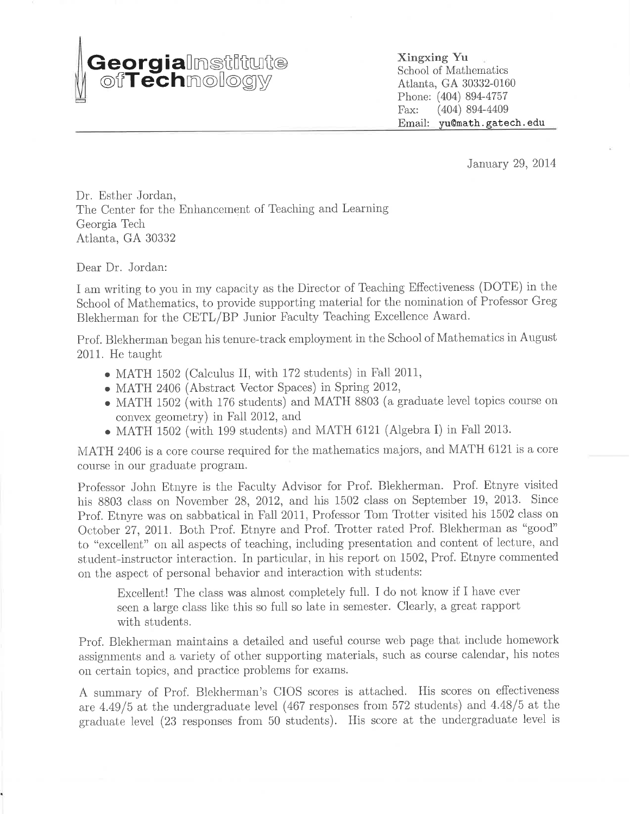# **Georgia**lmstiftute

Xingxing Yu School of Mathematics Atlanta, GA 30332-0160 Phone: (404) 894-4757  $(404)$  894-4409 Fax: Email: yu@math.gatech.edu

January 29, 2014

Dr. Esther Jordan. The Center for the Enhancement of Teaching and Learning Georgia Tech Atlanta, GA 30332

Dear Dr. Jordan:

I am writing to you in my capacity as the Director of Teaching Effectiveness (DOTE) in the School of Mathematics, to provide supporting material for the nomination of Professor Greg Blekherman for the CETL/BP Junior Faculty Teaching Excellence Award.

Prof. Blekherman began his tenure-track employment in the School of Mathematics in August 2011. He taught

- MATH 1502 (Calculus II, with 172 students) in Fall 2011,
- MATH 2406 (Abstract Vector Spaces) in Spring 2012,
- MATH 1502 (with 176 students) and MATH 8803 (a graduate level topics course on convex geometry) in Fall 2012, and
- $\bullet$  MATH 1502 (with 199 students) and MATH 6121 (Algebra I) in Fall 2013.

MATH 2406 is a core course required for the mathematics majors, and MATH 6121 is a core course in our graduate program.

Professor John Etnyre is the Faculty Advisor for Prof. Blekherman. Prof. Etnyre visited his 8803 class on November 28, 2012, and his 1502 class on September 19, 2013. Since Prof. Etnyre was on sabbatical in Fall 2011, Professor Tom Trotter visited his 1502 class on October 27, 2011. Both Prof. Etnyre and Prof. Trotter rated Prof. Blekherman as "good" to "excellent" on all aspects of teaching, including presentation and content of lecture, and student-instructor interaction. In particular, in his report on 1502, Prof. Etnyre commented on the aspect of personal behavior and interaction with students:

Excellent! The class was almost completely full. I do not know if I have ever seen a large class like this so full so late in semester. Clearly, a great rapport with students.

Prof. Blekherman maintains a detailed and useful course web page that include homework assignments and a variety of other supporting materials, such as course calendar, his notes on certain topics, and practice problems for exams.

A summary of Prof. Blekherman's CIOS scores is attached. His scores on effectiveness are  $4.49/5$  at the undergraduate level (467 responses from 572 students) and  $4.48/5$  at the graduate level (23 responses from 50 students). His score at the undergraduate level is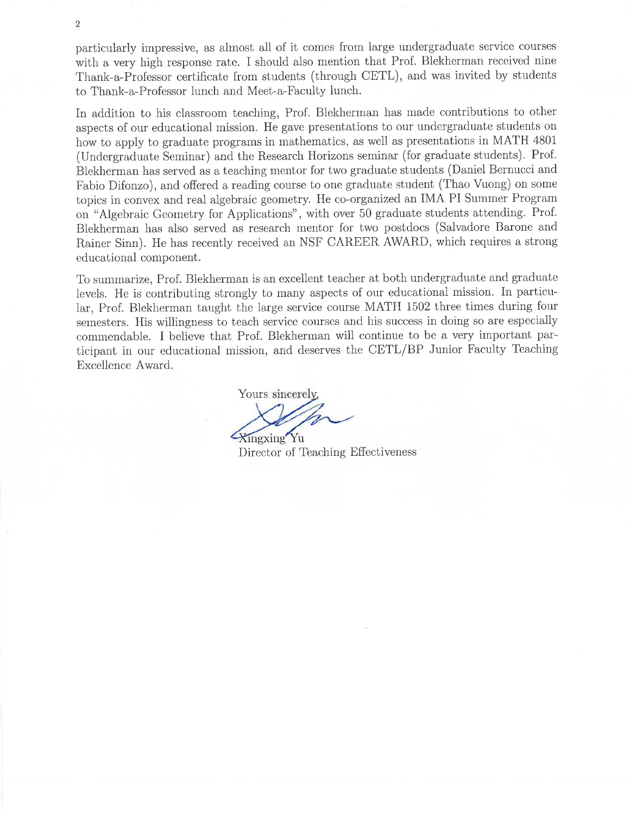particularly impressive, as almost all of it comes from large undergraduate service courses with a very high response rate. I should also mention that Prof. Blekherman received nine Thank-a-Professor certificate from students (through CETL), and was invited by students to Thank-a-Professor lunch and Meet-a-Faculty lunch.

In addition to his classroom teaching, Prof. Blekherman has made contributions to other aspects of our educational mission. He gave presentations to our undergraduate students on how to apply to graduate programs in mathematics, as well as presentations in MATH 4801 (Undergraduate Seminar) and the Research Horizons seminar (for graduate students). Prof. Blekherman has served as a teaching mentor for two graduate students (Daniel Bernucci and Fabio Difonzo), and offered a reading course to one graduate student (Thao Vuong) on some topics in convex and real algebraic geometry. He co-organized an IMA PI Summer Program on "Algebraic Geometry for Applications", with over 50 graduate students attending. Prof. Blekherman has also served as research mentor for two postdocs (Salvadore Barone and Rainer Sinn). He has recently received an NSF CAREER AWARD, which requires a strong educational component.

To summarize, Prof. Blekherman is an excellent teacher at both undergraduate and graduate levels. He is contributing strongly to many aspects of our educational mission. In particular, Prof. Blekherman taught the large service course MATH 1502 three times during four semesters. His willingness to teach service courses and his success in doing so are especially commendable. I believe that Prof. Blekherman will continue to be a very important participant in our educational mission, and deserves the CETL/BP Junior Faculty Teaching Excellence Award.

Yours sincerely. Xingxing Yu

Director of Teaching Effectiveness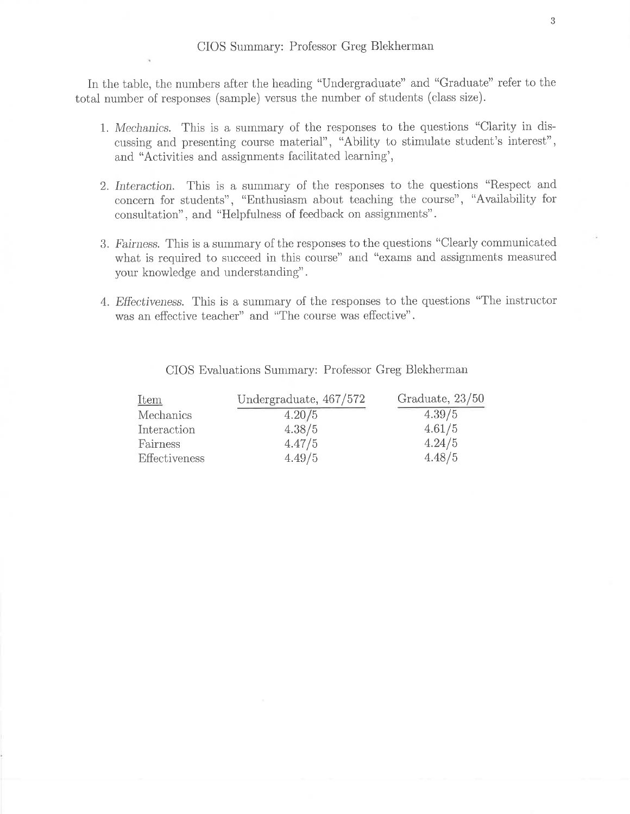In the table, the numbers after the heading "Undergraduate" and "Graduate" refer to the total number of responses (sample) versus the number of students (class size).

- 1. Mechanics. This is a summary of the responses to the questions "Clarity in discussing and presenting course material", "Ability to stimulate student's interest", and "Activities and assignments facilitated learning",
- 2. Interaction. This is a summary of the responses to the questions "Respect and concern for students", "Enthusiasm about teaching the course", "Availability for consultation", and "Helpfulness of feedback on assignments".
- 3. Fairness. This is a summary of the responses to the questions "Clearly communicated" what is required to succeed in this course" and "exams and assignments measured your knowledge and understanding".
- 4. Effectiveness. This is a summary of the responses to the questions "The instructor" was an effective teacher" and "The course was effective".

| <u>Item</u>   | Undergraduate, 467/572 | Graduate, 23/50 |
|---------------|------------------------|-----------------|
| Mechanics     | 4.20/5                 | 4.39/5          |
| Interaction   | 4.38/5                 | 4.61/5          |
| Fairness      | 4.47/5                 | 4.24/5          |
| Effectiveness | 4.49/5                 | 4.48/5          |

CIOS Evaluations Summary: Professor Greg Blekherman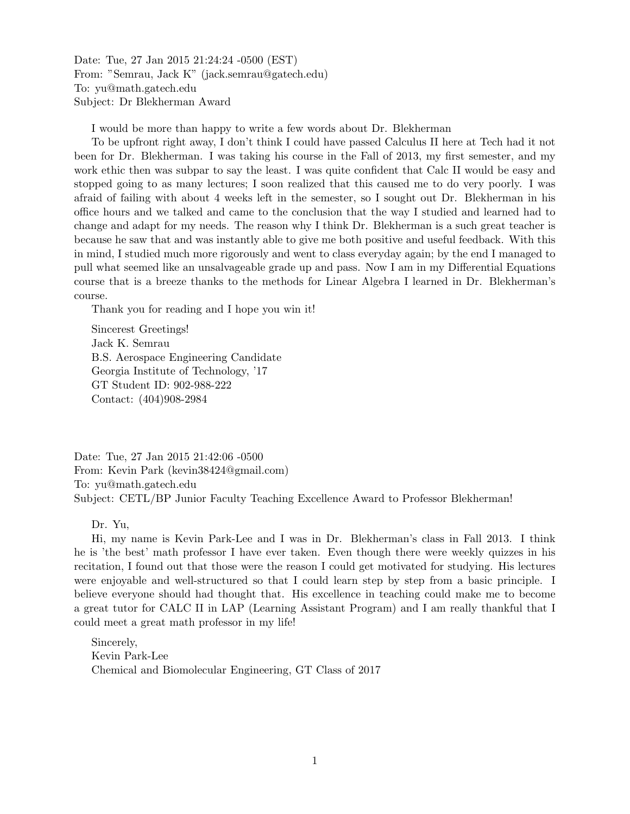Date: Tue, 27 Jan 2015 21:24:24 -0500 (EST) From: "Semrau, Jack K" (jack.semrau@gatech.edu) To: yu@math.gatech.edu Subject: Dr Blekherman Award

I would be more than happy to write a few words about Dr. Blekherman

To be upfront right away, I don't think I could have passed Calculus II here at Tech had it not been for Dr. Blekherman. I was taking his course in the Fall of 2013, my first semester, and my work ethic then was subpar to say the least. I was quite confident that Calc II would be easy and stopped going to as many lectures; I soon realized that this caused me to do very poorly. I was afraid of failing with about 4 weeks left in the semester, so I sought out Dr. Blekherman in his oce hours and we talked and came to the conclusion that the way I studied and learned had to change and adapt for my needs. The reason why I think Dr. Blekherman is a such great teacher is because he saw that and was instantly able to give me both positive and useful feedback. With this in mind, I studied much more rigorously and went to class everyday again; by the end I managed to pull what seemed like an unsalvageable grade up and pass. Now I am in my Differential Equations course that is a breeze thanks to the methods for Linear Algebra I learned in Dr. Blekherman's course.

Thank you for reading and I hope you win it!

Sincerest Greetings! Jack K. Semrau B.S. Aerospace Engineering Candidate Georgia Institute of Technology, '17 GT Student ID: 902-988-222 Contact: (404)908-2984

Date: Tue, 27 Jan 2015 21:42:06 -0500 From: Kevin Park (kevin38424@gmail.com) To: yu@math.gatech.edu Subject: CETL/BP Junior Faculty Teaching Excellence Award to Professor Blekherman!

Dr. Yu,

Hi, my name is Kevin Park-Lee and I was in Dr. Blekherman's class in Fall 2013. I think he is 'the best' math professor I have ever taken. Even though there were weekly quizzes in his recitation, I found out that those were the reason I could get motivated for studying. His lectures were enjoyable and well-structured so that I could learn step by step from a basic principle. I believe everyone should had thought that. His excellence in teaching could make me to become a great tutor for CALC II in LAP (Learning Assistant Program) and I am really thankful that I could meet a great math professor in my life!

Sincerely, Kevin Park-Lee Chemical and Biomolecular Engineering, GT Class of 2017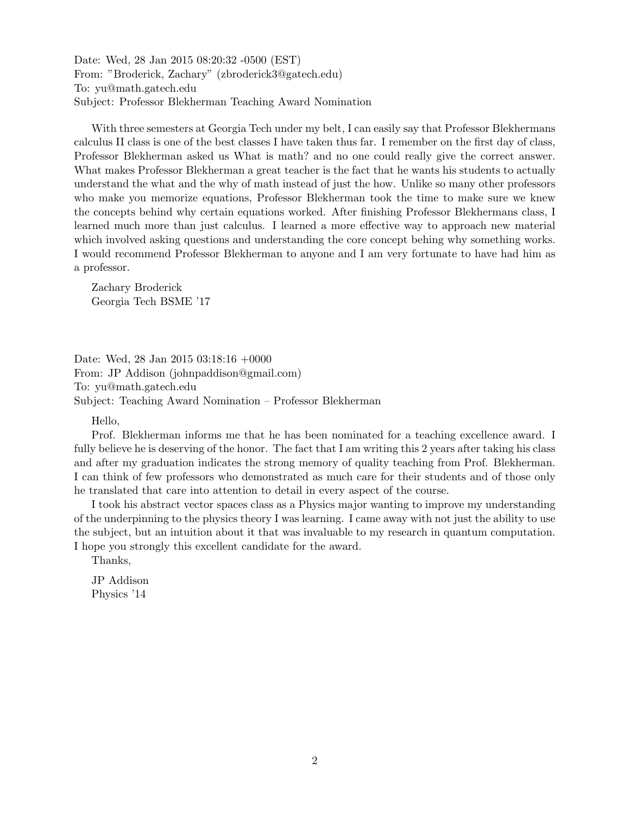Date: Wed, 28 Jan 2015 08:20:32 -0500 (EST) From: "Broderick, Zachary" (zbroderick3@gatech.edu) To: yu@math.gatech.edu Subject: Professor Blekherman Teaching Award Nomination

With three semesters at Georgia Tech under my belt, I can easily say that Professor Blekhermans calculus II class is one of the best classes I have taken thus far. I remember on the first day of class, Professor Blekherman asked us What is math? and no one could really give the correct answer. What makes Professor Blekherman a great teacher is the fact that he wants his students to actually understand the what and the why of math instead of just the how. Unlike so many other professors who make you memorize equations, Professor Blekherman took the time to make sure we knew the concepts behind why certain equations worked. After finishing Professor Blekhermans class, I learned much more than just calculus. I learned a more effective way to approach new material which involved asking questions and understanding the core concept behing why something works. I would recommend Professor Blekherman to anyone and I am very fortunate to have had him as a professor.

Zachary Broderick Georgia Tech BSME '17

Date: Wed, 28 Jan 2015 03:18:16 +0000 From: JP Addison (johnpaddison@gmail.com) To: yu@math.gatech.edu Subject: Teaching Award Nomination – Professor Blekherman

Hello,

Prof. Blekherman informs me that he has been nominated for a teaching excellence award. I fully believe he is deserving of the honor. The fact that I am writing this 2 years after taking his class and after my graduation indicates the strong memory of quality teaching from Prof. Blekherman. I can think of few professors who demonstrated as much care for their students and of those only he translated that care into attention to detail in every aspect of the course.

I took his abstract vector spaces class as a Physics major wanting to improve my understanding of the underpinning to the physics theory I was learning. I came away with not just the ability to use the subject, but an intuition about it that was invaluable to my research in quantum computation. I hope you strongly this excellent candidate for the award.

Thanks,

JP Addison Physics '14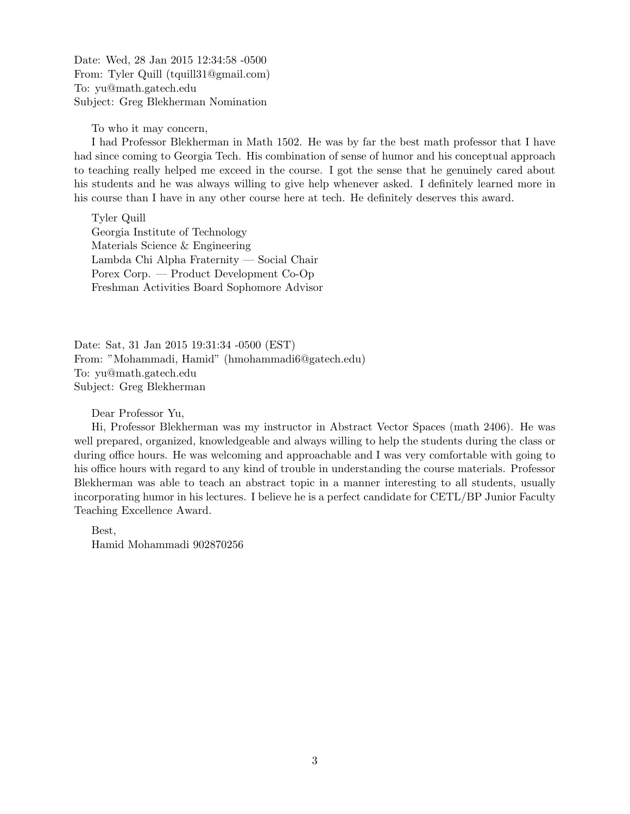Date: Wed, 28 Jan 2015 12:34:58 -0500 From: Tyler Quill (tquill31@gmail.com) To: yu@math.gatech.edu Subject: Greg Blekherman Nomination

To who it may concern,

I had Professor Blekherman in Math 1502. He was by far the best math professor that I have had since coming to Georgia Tech. His combination of sense of humor and his conceptual approach to teaching really helped me exceed in the course. I got the sense that he genuinely cared about his students and he was always willing to give help whenever asked. I definitely learned more in his course than I have in any other course here at tech. He definitely deserves this award.

Tyler Quill Georgia Institute of Technology Materials Science & Engineering Lambda Chi Alpha Fraternity — Social Chair Porex Corp. — Product Development Co-Op Freshman Activities Board Sophomore Advisor

Date: Sat, 31 Jan 2015 19:31:34 -0500 (EST) From: "Mohammadi, Hamid" (hmohammadi6@gatech.edu) To: yu@math.gatech.edu Subject: Greg Blekherman

Dear Professor Yu,

Hi, Professor Blekherman was my instructor in Abstract Vector Spaces (math 2406). He was well prepared, organized, knowledgeable and always willing to help the students during the class or during office hours. He was welcoming and approachable and I was very comfortable with going to his office hours with regard to any kind of trouble in understanding the course materials. Professor Blekherman was able to teach an abstract topic in a manner interesting to all students, usually incorporating humor in his lectures. I believe he is a perfect candidate for CETL/BP Junior Faculty Teaching Excellence Award.

Best, Hamid Mohammadi 902870256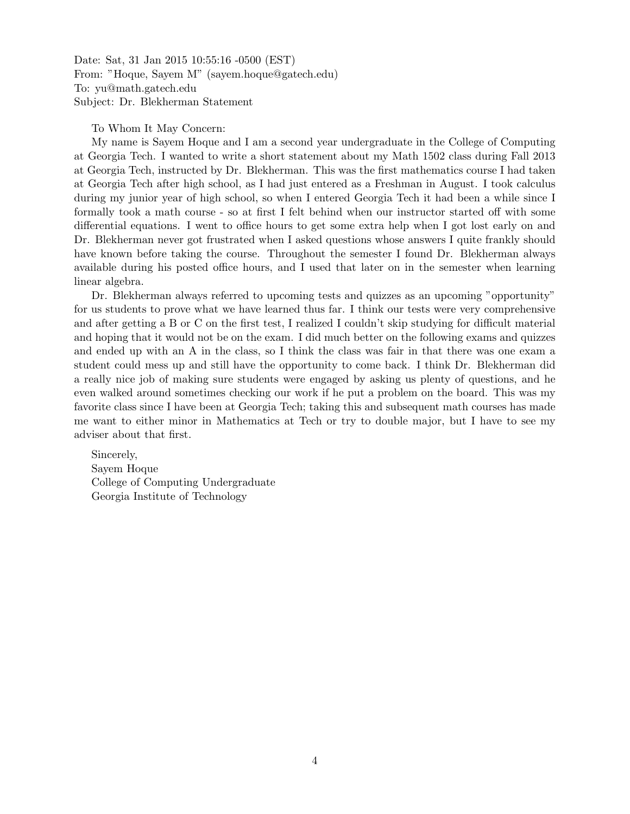Date: Sat, 31 Jan 2015 10:55:16 -0500 (EST) From: "Hoque, Sayem M" (sayem.hoque@gatech.edu) To: yu@math.gatech.edu Subject: Dr. Blekherman Statement

To Whom It May Concern:

My name is Sayem Hoque and I am a second year undergraduate in the College of Computing at Georgia Tech. I wanted to write a short statement about my Math 1502 class during Fall 2013 at Georgia Tech, instructed by Dr. Blekherman. This was the first mathematics course I had taken at Georgia Tech after high school, as I had just entered as a Freshman in August. I took calculus during my junior year of high school, so when I entered Georgia Tech it had been a while since I formally took a math course - so at first I felt behind when our instructor started off with some differential equations. I went to office hours to get some extra help when I got lost early on and Dr. Blekherman never got frustrated when I asked questions whose answers I quite frankly should have known before taking the course. Throughout the semester I found Dr. Blekherman always available during his posted office hours, and I used that later on in the semester when learning linear algebra.

Dr. Blekherman always referred to upcoming tests and quizzes as an upcoming "opportunity" for us students to prove what we have learned thus far. I think our tests were very comprehensive and after getting a B or C on the first test, I realized I couldn't skip studying for difficult material and hoping that it would not be on the exam. I did much better on the following exams and quizzes and ended up with an A in the class, so I think the class was fair in that there was one exam a student could mess up and still have the opportunity to come back. I think Dr. Blekherman did a really nice job of making sure students were engaged by asking us plenty of questions, and he even walked around sometimes checking our work if he put a problem on the board. This was my favorite class since I have been at Georgia Tech; taking this and subsequent math courses has made me want to either minor in Mathematics at Tech or try to double major, but I have to see my adviser about that first.

Sincerely, Sayem Hoque College of Computing Undergraduate Georgia Institute of Technology